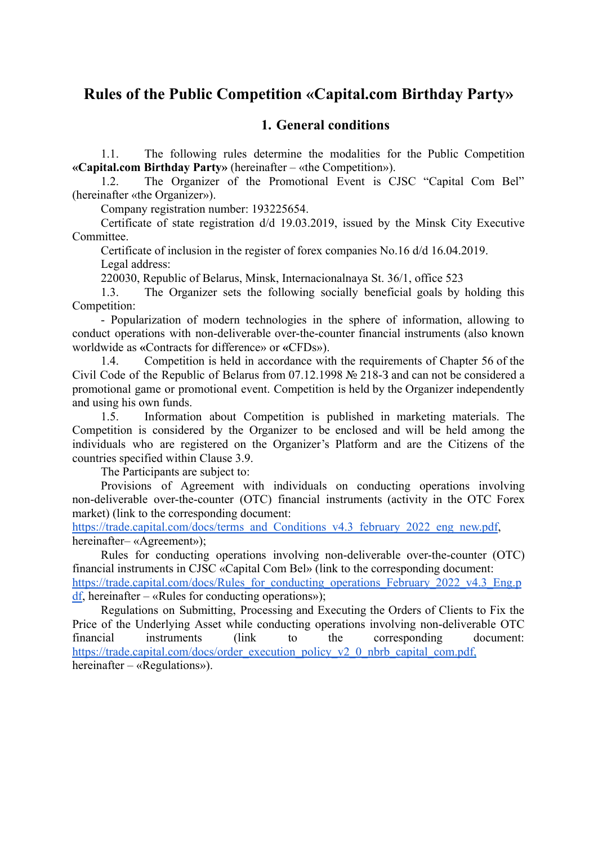# **Rules of the Public Competition «Capital.com Birthday Party»**

### **1. General conditions**

1.1. The following rules determine the modalities for the Public Competition **«Capital.com Birthday Party»** (hereinafter – «the Competition»).

1.2. The Organizer of the Promotional Event is CJSC "Capital Com Bel" (hereinafter «the Organizer»).

Company registration number: 193225654.

Certificate of state registration d/d 19.03.2019, issued by the Minsk City Executive Committee.

Certificate of inclusion in the register of forex companies No.16 d/d 16.04.2019. Legal address:

220030, Republic of Belarus, Minsk, Internacionalnaya St. 36/1, office 523

1.3. The Organizer sets the following socially beneficial goals by holding this Competition:

- Popularization of modern technologies in the sphere of information, allowing to conduct operations with non-deliverable over-the-counter financial instruments (also known worldwide as **«**Contracts for difference» or **«**CFDs»).

1.4. Competition is held in accordance with the requirements of Chapter 56 of the Civil Code of the Republic of Belarus from 07.12.1998 № 218-З and can not be considered a promotional game or promotional event. Competition is held by the Organizer independently and using his own funds.

1.5. Information about Competition is published in marketing materials. The Competition is considered by the Organizer to be enclosed and will be held among the individuals who are registered on the Organizer's Platform and are the Citizens of the countries specified within Clause 3.9.

The Participants are subject to:

Provisions of Agreement with individuals on conducting operations involving non-deliverable over-the-counter (OTC) financial instruments (activity in the OTC Forex market) (link to the corresponding document:

[https://trade.capital.com/docs/terms\\_and\\_Conditions\\_v4.3\\_february\\_2022\\_eng\\_new.pdf](https://trade.capital.com/docs/terms_and_Conditions_v4.3_february_2022_eng_new.pdf), hereinafter– «Agreement»);

Rules for conducting operations involving non-deliverable over-the-counter (OTC) financial instruments in CJSC «Capital Com Bel» (link to the corresponding document: [https://trade.capital.com/docs/Rules\\_for\\_conducting\\_operations\\_February\\_2022\\_v4.3\\_Eng.p](https://trade.capital.com/docs/Rules_for_conducting_operations_February_2022_v4.3_Eng.pdf)  $df$ , hereinafter – «Rules for conducting operations»);

Regulations on Submitting, Processing and Executing the Orders of Clients to Fix the Price of the Underlying Asset while conducting operations involving non-deliverable OTC financial instruments (link to the corresponding document: [https://trade.capital.com/docs/order\\_execution\\_policy\\_v2\\_0\\_nbrb\\_capital\\_com.pdf](https://trade.capital.com/docs/order_execution_policy_v2_0_nbrb_capital_com.pdf)[,](https://trade.capital.com/docs/trading_rules_non_deliverable_otc_instruments_ru_v2_0_nbrb_capital_com.pdf,) hereinafter – «Regulations»).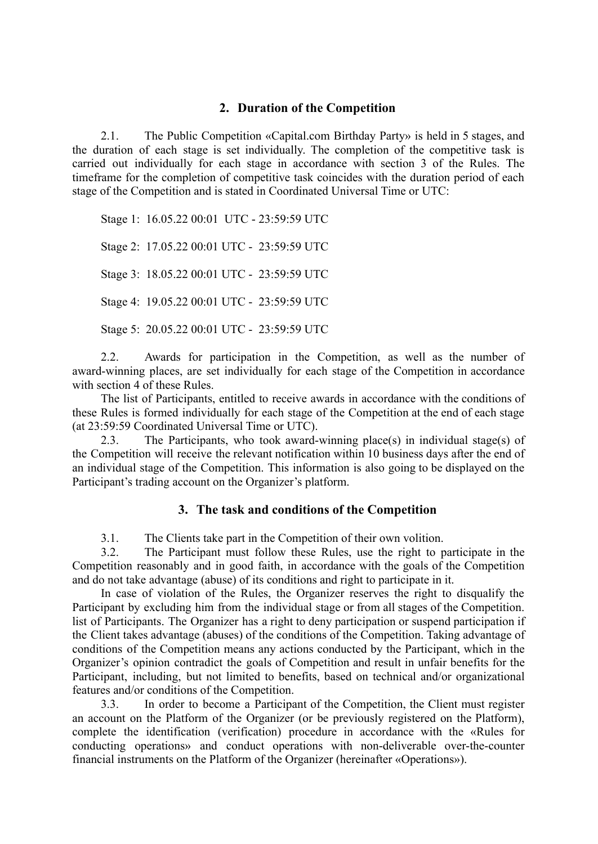#### **2. Duration of the Competition**

2.1. The Public Competition «Capital.com Birthday Party» is held in 5 stages, and the duration of each stage is set individually. The completion of the competitive task is carried out individually for each stage in accordance with section 3 of the Rules. The timeframe for the completion of competitive task coincides with the duration period of each stage of the Competition and is stated in Coordinated Universal Time or UTC:

Stage 1: 16.05.22 00:01 UTC - 23:59:59 UTC

Stage 2: 17.05.22 00:01 UTC - 23:59:59 UTC

Stage 3: 18.05.22 00:01 UTC - 23:59:59 UTC

Stage 4: 19.05.22 00:01 UTC - 23:59:59 UTC

Stage 5: 20.05.22 00:01 UTC - 23:59:59 UTC

2.2. Awards for participation in the Competition, as well as the number of award-winning places, are set individually for each stage of the Competition in accordance with section 4 of these Rules.

The list of Participants, entitled to receive awards in accordance with the conditions of these Rules is formed individually for each stage of the Competition at the end of each stage (at 23:59:59 Coordinated Universal Time or UTC).

2.3. The Participants, who took award-winning place(s) in individual stage(s) of the Competition will receive the relevant notification within 10 business days after the end of an individual stage of the Competition. This information is also going to be displayed on the Participant's trading account on the Organizer's platform.

### **3. The task and conditions of the Competition**

3.1. The Clients take part in the Competition of their own volition.

3.2. The Participant must follow these Rules, use the right to participate in the Competition reasonably and in good faith, in accordance with the goals of the Competition and do not take advantage (abuse) of its conditions and right to participate in it.

In case of violation of the Rules, the Organizer reserves the right to disqualify the Participant by excluding him from the individual stage or from all stages of the Competition. list of Participants. The Organizer has a right to deny participation or suspend participation if the Client takes advantage (abuses) of the conditions of the Competition. Taking advantage of conditions of the Competition means any actions conducted by the Participant, which in the Organizer's opinion contradict the goals of Competition and result in unfair benefits for the Participant, including, but not limited to benefits, based on technical and/or organizational features and/or conditions of the Competition.

3.3. In order to become a Participant of the Competition, the Client must register an account on the Platform of the Organizer (or be previously registered on the Platform), complete the identification (verification) procedure in accordance with the «Rules for conducting operations» and conduct operations with non-deliverable over-the-counter financial instruments on the Platform of the Organizer (hereinafter «Operations»).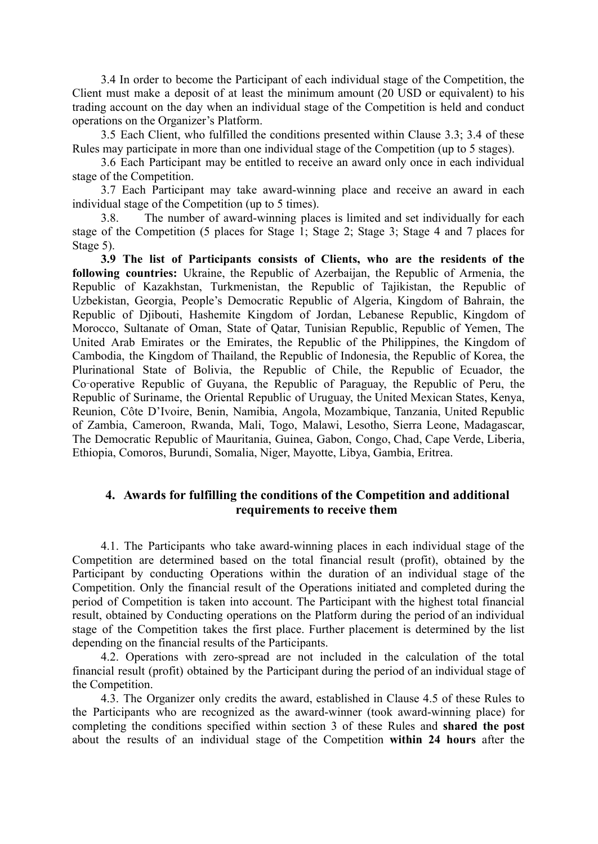3.4 In order to become the Participant of each individual stage of the Competition, the Client must make a deposit of at least the minimum amount (20 USD or equivalent) to his trading account on the day when an individual stage of the Competition is held and conduct operations on the Organizer's Platform.

3.5 Each Client, who fulfilled the conditions presented within Clause 3.3; 3.4 of these Rules may participate in more than one individual stage of the Competition (up to 5 stages).

3.6 Each Participant may be entitled to receive an award only once in each individual stage of the Competition.

3.7 Each Participant may take award-winning place and receive an award in each individual stage of the Competition (up to 5 times).

3.8. The number of award-winning places is limited and set individually for each stage of the Competition (5 places for Stage 1; Stage 2; Stage 3; Stage 4 and 7 places for Stage 5).

**3.9 The list of Participants consists of Clients, who are the residents of the following countries:** Ukraine, the Republic of Azerbaijan, the Republic of Armenia, the Republic of Kazakhstan, Turkmenistan, the Republic of Tajikistan, the Republic of Uzbekistan, Georgia, People's Democratic Republic of Algeria, Kingdom of Bahrain, the Republic of Djibouti, Hashemite Kingdom of Jordan, Lebanese Republic, Kingdom of Morocco, Sultanate of Oman, State of Qatar, Tunisian Republic, Republic of Yemen, The United Arab Emirates or the Emirates, the Republic of the Philippines, the Kingdom of Cambodia, the Kingdom of Thailand, the Republic of Indonesia, the Republic of Korea, the Plurinational State of Bolivia, the Republic of Chile, the Republic of Ecuador, the Co‑operative Republic of Guyana, the Republic of Paraguay, the Republic of Peru, the Republic of Suriname, the Oriental Republic of Uruguay, the United Mexican States, Kenya, Reunion, Côte D'Ivoire, Benin, Namibia, Angola, Mozambique, Tanzania, United Republic of Zambia, Cameroon, Rwanda, Mali, Togo, Malawi, Lesotho, Sierra Leone, Madagascar, The Democratic Republic of Mauritania, Guinea, Gabon, Congo, Chad, Cape Verde, Liberia, Ethiopia, Comoros, Burundi, Somalia, Niger, Mayotte, Libya, Gambia, Eritrea.

### **4. Awards for fulfilling the conditions of the Competition and additional requirements to receive them**

4.1. The Participants who take award-winning places in each individual stage of the Competition are determined based on the total financial result (profit), obtained by the Participant by conducting Operations within the duration of an individual stage of the Competition. Only the financial result of the Operations initiated and completed during the period of Competition is taken into account. The Participant with the highest total financial result, obtained by Conducting operations on the Platform during the period of an individual stage of the Competition takes the first place. Further placement is determined by the list depending on the financial results of the Participants.

4.2. Operations with zero-spread are not included in the calculation of the total financial result (profit) obtained by the Participant during the period of an individual stage of the Competition.

4.3. The Organizer only credits the award, established in Clause 4.5 of these Rules to the Participants who are recognized as the award-winner (took award-winning place) for completing the conditions specified within section 3 of these Rules and **shared the post** about the results of an individual stage of the Competition **within 24 hours** after the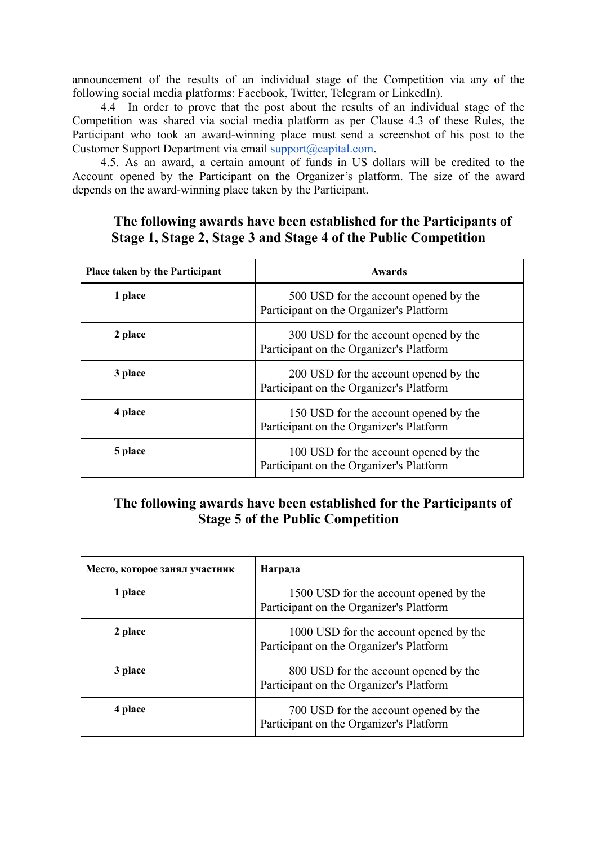announcement of the results of an individual stage of the Competition via any of the following social media platforms: Facebook, Twitter, Telegram or LinkedIn).

4.4 In order to prove that the post about the results of an individual stage of the Competition was shared via social media platform as per Clause 4.3 of these Rules, the Participant who took an award-winning place must send a screenshot of his post to the Customer Support Department via email [support@capital.com](mailto:support@capital.com).

4.5. As an award, a certain amount of funds in US dollars will be credited to the Account opened by the Participant on the Organizer's platform. The size of the award depends on the award-winning place taken by the Participant.

### **The following awards have been established for the Participants of Stage 1, Stage 2, Stage 3 and Stage 4 of the Public Competition**

| Place taken by the Participant | <b>Awards</b>                                                                    |
|--------------------------------|----------------------------------------------------------------------------------|
| 1 place                        | 500 USD for the account opened by the<br>Participant on the Organizer's Platform |
| 2 place                        | 300 USD for the account opened by the<br>Participant on the Organizer's Platform |
| 3 place                        | 200 USD for the account opened by the<br>Participant on the Organizer's Platform |
| 4 place                        | 150 USD for the account opened by the<br>Participant on the Organizer's Platform |
| 5 place                        | 100 USD for the account opened by the<br>Participant on the Organizer's Platform |

# **The following awards have been established for the Participants of Stage 5 of the Public Competition**

| Место, которое занял участник | Награда                                                                           |
|-------------------------------|-----------------------------------------------------------------------------------|
| 1 place                       | 1500 USD for the account opened by the<br>Participant on the Organizer's Platform |
| 2 place                       | 1000 USD for the account opened by the<br>Participant on the Organizer's Platform |
| 3 place                       | 800 USD for the account opened by the<br>Participant on the Organizer's Platform  |
| 4 place                       | 700 USD for the account opened by the<br>Participant on the Organizer's Platform  |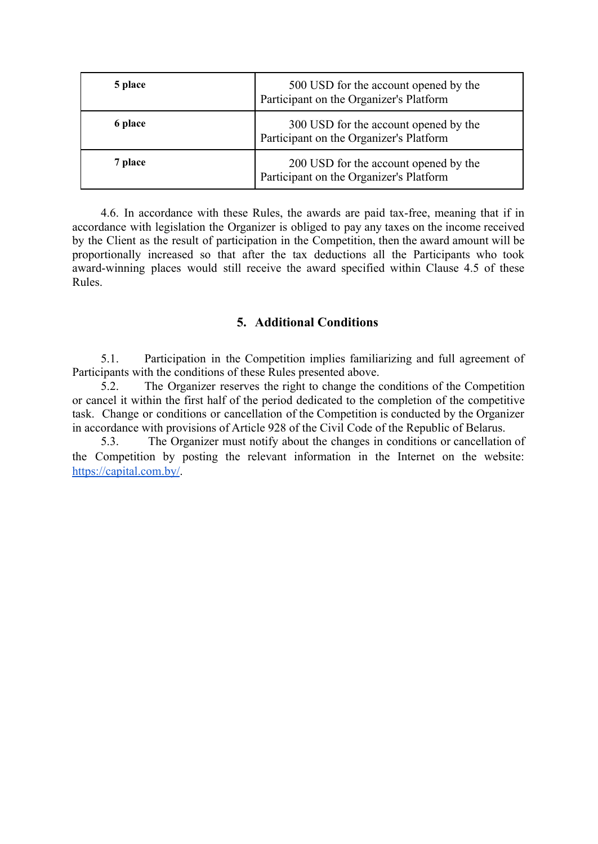| 5 place | 500 USD for the account opened by the<br>Participant on the Organizer's Platform |
|---------|----------------------------------------------------------------------------------|
| 6 place | 300 USD for the account opened by the<br>Participant on the Organizer's Platform |
| 7 place | 200 USD for the account opened by the<br>Participant on the Organizer's Platform |

4.6. In accordance with these Rules, the awards are paid tax-free, meaning that if in accordance with legislation the Organizer is obliged to pay any taxes on the income received by the Client as the result of participation in the Competition, then the award amount will be proportionally increased so that after the tax deductions all the Participants who took award-winning places would still receive the award specified within Clause 4.5 of these Rules.

### **5. Additional Conditions**

5.1. Participation in the Competition implies familiarizing and full agreement of Participants with the conditions of these Rules presented above.

5.2. The Organizer reserves the right to change the conditions of the Competition or cancel it within the first half of the period dedicated to the completion of the competitive task. Change or conditions or cancellation of the Competition is conducted by the Organizer in accordance with provisions of Article 928 of the Civil Code of the Republic of Belarus.

5.3. The Organizer must notify about the changes in conditions or cancellation of the Competition by posting the relevant information in the Internet on the website: <https://capital.com.by/>.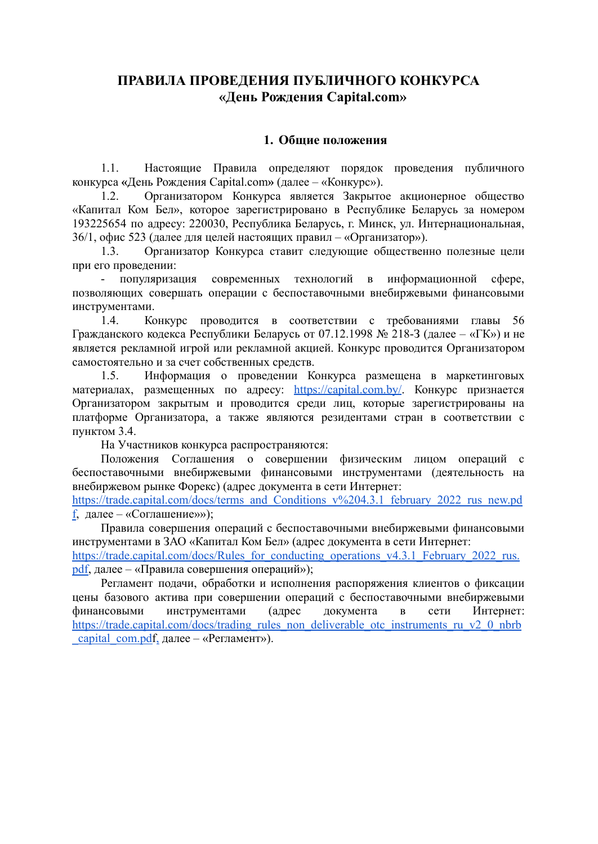# **ПРАВИЛА ПРОВЕДЕНИЯ ПУБЛИЧНОГО КОНКУРСА «День Рождения Capital.com»**

#### **1. Общие положения**

1.1. Настоящие Правила определяют порядок проведения публичного конкурса **«**День Рождения Capital.com**»** (далее – «Конкурс»).

1.2. Организатором Конкурса является Закрытое акционерное общество «Капитал Ком Бел», которое зарегистрировано в Республике Беларусь за номером 193225654 по адресу: 220030, Республика Беларусь, г. Минск, ул. Интернациональная, 36/1, офис 523 (далее для целей настоящих правил – «Организатор»).

1.3. Организатор Конкурса ставит следующие общественно полезные цели при его проведении:

- популяризация современных технологий в информационной сфере, позволяющих совершать операции с беспоставочными внебиржевыми финансовыми инструментами.

1.4. Конкурс проводится в соответствии с требованиями главы 56 Гражданского кодекса Республики Беларусь от 07.12.1998 № 218-З (далее – «ГК») и не является рекламной игрой или рекламной акцией. Конкурс проводится Организатором самостоятельно и за счет собственных средств.

1.5. Информация о проведении Конкурса размещена в маркетинговых материалах, размещенных по адресу: <https://capital.com.by/>. Конкурс признается Организатором закрытым и проводится среди лиц, которые зарегистрированы на платформе Организатора, а также являются резидентами стран в соответствии с пунктом 3.4.

На Участников конкурса распространяются:

Положения Соглашения о совершении физическим лицом операций с беспоставочными внебиржевыми финансовыми инструментами (деятельность на внебиржевом рынке Форекс) (адрес документа в сети Интернет:

[https://trade.capital.com/docs/terms\\_and\\_Conditions\\_v%204.3.1\\_february\\_2022\\_rus\\_new.pd](https://trade.capital.com/docs/terms_and_Conditions_v%204.3.1_february_2022_rus_new.pdf) [f,](https://trade.capital.com/docs/terms_and_Conditions_v%204.3.1_february_2022_rus_new.pdf) далее – «Соглашение»»);

Правила совершения операций с беспоставочными внебиржевыми финансовыми инструментами в ЗАО «Капитал Ком Бел» (адрес документа в сети Интернет: [https://trade.capital.com/docs/Rules\\_for\\_conducting\\_operations\\_v4.3.1\\_February\\_2022\\_rus.](https://trade.capital.com/docs/Rules_for_conducting_operations_v4.3.1_February_2022_rus.pdf) [pdf,](https://trade.capital.com/docs/Rules_for_conducting_operations_v4.3.1_February_2022_rus.pdf) далее – «Правила совершения операций»);

Регламент подачи, обработки и исполнения распоряжения клиентов о фиксации цены базового актива при совершении операций с беспоставочными внебиржевыми финансовыми инструментами (адрес документа в сети Интернет: [https://trade.capital.com/docs/trading\\_rules\\_non\\_deliverable\\_otc\\_instruments\\_ru\\_v2\\_0\\_nbrb](https://trade.capital.com/docs/trading_rules_non_deliverable_otc_instruments_ru_v2_0_nbrb_capital_com.pd) capital com.pdf[,](https://trade.capital.com/docs/trading_rules_non_deliverable_otc_instruments_ru_v2_0_nbrb_capital_com.pdf,) далее – «Регламент»).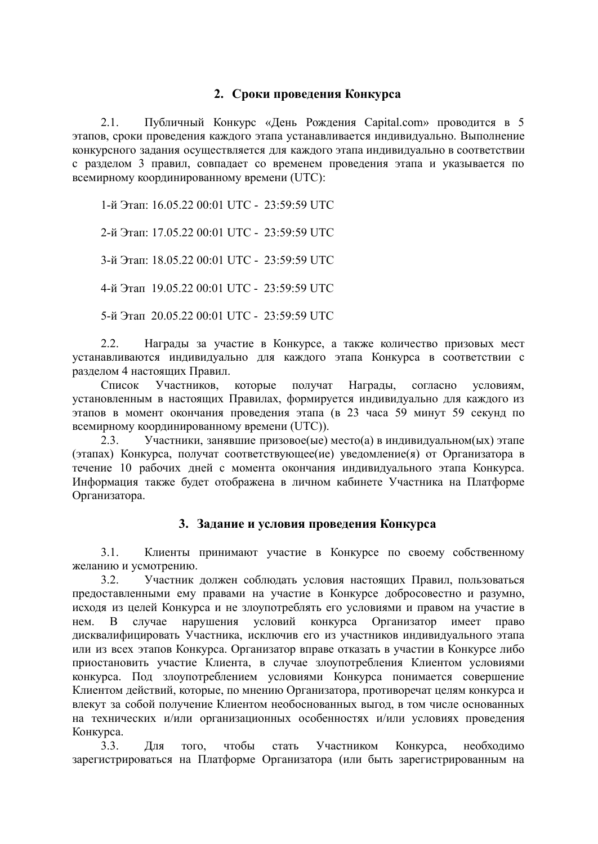### **2. Сроки проведения Конкурса**

2.1. Публичный Конкурс «День Рождения Capital.com» проводится в 5 этапов, сроки проведения каждого этапа устанавливается индивидуально. Выполнение конкурсного задания осуществляется для каждого этапа индивидуально в соответствии с разделом 3 правил, совпадает со временем проведения этапа и указывается по всемирному координированному времени (UTC):

1-й Этап: 16.05.22 00:01 UTC - 23:59:59 UTC

2-й Этап: 17.05.22 00:01 UTC - 23:59:59 UTC

3-й Этап: 18.05.22 00:01 UTC - 23:59:59 UTC

4-й Этап 19.05.22 00:01 UTC - 23:59:59 UTC

5-й Этап 20.05.22 00:01 UTC - 23:59:59 UTC

2.2. Награды за участие в Конкурсе, а также количество призовых мест устанавливаются индивидуально для каждого этапа Конкурса в соответствии с разделом 4 настоящих Правил.

Список Участников, которые получат Награды, согласно условиям, установленным в настоящих Правилах, формируется индивидуально для каждого из этапов в момент окончания проведения этапа (в 23 часа 59 минут 59 секунд по всемирному координированному времени (UTC)).

2.3. Участники, занявшие призовое(ые) место(а) в индивидуальном(ых) этапе (этапах) Конкурса, получат соответствующее(ие) уведомление(я) от Организатора в течение 10 рабочих дней с момента окончания индивидуального этапа Конкурса. Информация также будет отображена в личном кабинете Участника на Платформе Организатора.

### **3. Задание и условия проведения Конкурса**

3.1. Клиенты принимают участие в Конкурсе по своему собственному желанию и усмотрению.

3.2. Участник должен соблюдать условия настоящих Правил, пользоваться предоставленными ему правами на участие в Конкурсе добросовестно и разумно, исходя из целей Конкурса и не злоупотреблять его условиями и правом на участие в нем. В случае нарушения условий конкурса Организатор имеет право дисквалифицировать Участника, исключив его из участников индивидуального этапа или из всех этапов Конкурса. Организатор вправе отказать в участии в Конкурсе либо приостановить участие Клиента, в случае злоупотребления Клиентом условиями конкурса. Под злоупотреблением условиями Конкурса понимается совершение Клиентом действий, которые, по мнению Организатора, противоречат целям конкурса и влекут за собой получение Клиентом необоснованных выгод, в том числе основанных на технических и/или организационных особенностях и/или условиях проведения Конкурса.

3.3. Для того, чтобы стать Участником Конкурса, необходимо зарегистрироваться на Платформе Организатора (или быть зарегистрированным на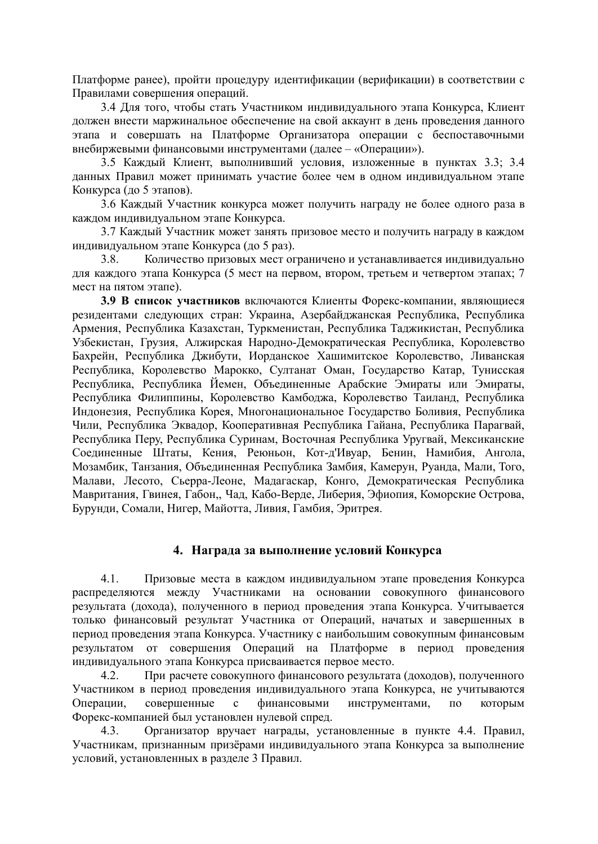Платформе ранее), пройти процедуру идентификации (верификации) в соответствии с Правилами совершения операций.

3.4 Для того, чтобы стать Участником индивидуального этапа Конкурса, Клиент должен внести маржинальное обеспечение на свой аккаунт в день проведения данного этапа и совершать на Платформе Организатора операции с беспоставочными внебиржевыми финансовыми инструментами (далее – «Операции»).

3.5 Каждый Клиент, выполнивший условия, изложенные в пунктах 3.3; 3.4 данных Правил может принимать участие более чем в одном индивидуальном этапе Конкурса (до 5 этапов).

3.6 Каждый Участник конкурса может получить награду не более одного раза в каждом индивидуальном этапе Конкурса.

3.7 Каждый Участник может занять призовое место и получить награду в каждом индивидуальном этапе Конкурса (до 5 раз).

3.8. Количество призовых мест ограничено и устанавливается индивидуально для каждого этапа Конкурса (5 мест на первом, втором, третьем и четвертом этапах; 7 мест на пятом этапе).

**3.9 В список участников** включаются Клиенты Форекс-компании, являющиеся резидентами следующих стран: Украина, Азербайджанская Республика, Республика Армения, Республика Казахстан, Туркменистан, Республика Таджикистан, Республика Узбекистан, Грузия, Алжирская Народно-Демократическая Республика, Королевство Бахрейн, Республика Джибути, Иорданское Хашимитское Королевство, Ливанская Республика, Королевство Марокко, Султанат Оман, Государство Катар, Тунисская Республика, Республика Йемен, Объединенные Арабские Эмираты или Эмираты, Республика Филиппины, Королевство Камбоджа, Королевство Таиланд, Республика Индонезия, Республика Корея, Многонациональное Государство Боливия, Республика Чили, Республика Эквадор, Кооперативная Республика Гайана, Республика Парагвай, Республика Перу, Республика Суринам, Восточная Республика Уругвай, Мексиканские Соединенные Штаты, Кения, Реюньон, Кот-д'Ивуар, Бенин, Намибия, Ангола, Мозамбик, Танзания, Объединенная Республика Замбия, Камерун, Руанда, Мали, Того, Малави, Лесото, Сьерра-Леоне, Мадагаскар, Конго, Демократическая Республика Мавритания, Гвинея, Габон,, Чад, Кабо-Верде, Либерия, Эфиопия, Коморские Острова, Бурунди, Сомали, Нигер, Майотта, Ливия, Гамбия, Эритрея.

#### **4. Награда за выполнение условий Конкурса**

4.1. Призовые места в каждом индивидуальном этапе проведения Конкурса распределяются между Участниками на основании совокупного финансового результата (дохода), полученного в период проведения этапа Конкурса. Учитывается только финансовый результат Участника от Операций, начатых и завершенных в период проведения этапа Конкурса. Участнику с наибольшим совокупным финансовым результатом от совершения Операций на Платформе в период проведения индивидуального этапа Конкурса присваивается первое место.

4.2. При расчете совокупного финансового результата (доходов), полученного Участником в период проведения индивидуального этапа Конкурса, не учитываются Операции, совершенные с финансовыми инструментами, по которым Форекс-компанией был установлен нулевой спред.

4.3. Организатор вручает награды, установленные в пункте 4.4. Правил, Участникам, признанным призёрами индивидуального этапа Конкурса за выполнение условий, установленных в разделе 3 Правил.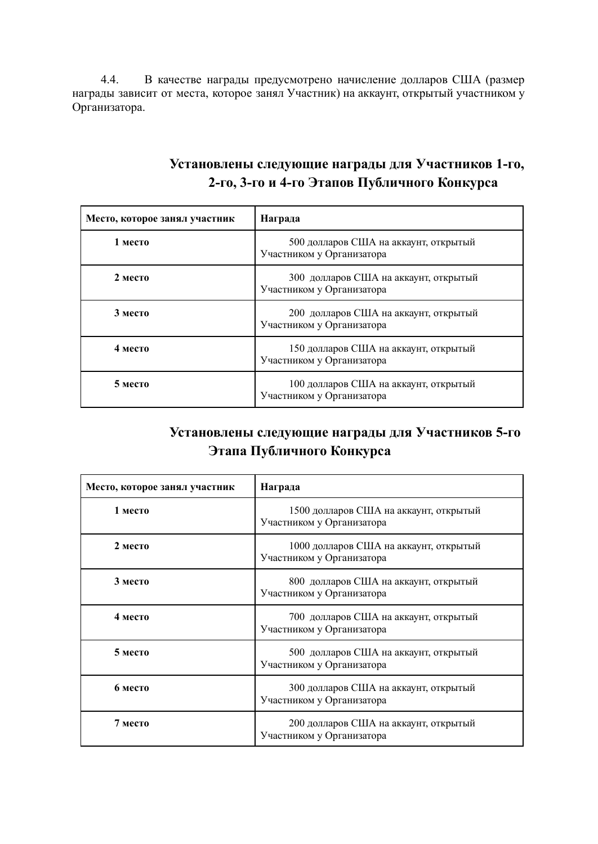4.4. В качестве награды предусмотрено начисление долларов США (размер награды зависит от места, которое занял Участник) на аккаунт, открытый участником у Организатора.

| Установлены следующие награды для Участников 1-го, |
|----------------------------------------------------|
| 2-го, 3-го и 4-го Этапов Публичного Конкурса       |

| Место, которое занял участник | Награда                                                            |
|-------------------------------|--------------------------------------------------------------------|
| 1 место                       | 500 долларов США на аккаунт, открытый<br>Участником у Организатора |
| $2$ место                     | 300 долларов США на аккаунт, открытый<br>Участником у Организатора |
| 3 место                       | 200 долларов США на аккаунт, открытый<br>Участником у Организатора |
| 4 место                       | 150 долларов США на аккаунт, открытый<br>Участником у Организатора |
| 5 место                       | 100 долларов США на аккаунт, открытый<br>Участником у Организатора |

# **Установлены следующие награды для Участников 5-го Этапа Публичного Конкурса**

| Место, которое занял участник | Награда                                                             |
|-------------------------------|---------------------------------------------------------------------|
| 1 место                       | 1500 долларов США на аккаунт, открытый<br>Участником у Организатора |
| 2 место                       | 1000 долларов США на аккаунт, открытый<br>Участником у Организатора |
| 3 место                       | 800 долларов США на аккаунт, открытый<br>Участником у Организатора  |
| 4 место                       | 700 долларов США на аккаунт, открытый<br>Участником у Организатора  |
| 5 место                       | 500 долларов США на аккаунт, открытый<br>Участником у Организатора  |
| 6 место                       | 300 долларов США на аккаунт, открытый<br>Участником у Организатора  |
| 7 место                       | 200 долларов США на аккаунт, открытый<br>Участником у Организатора  |